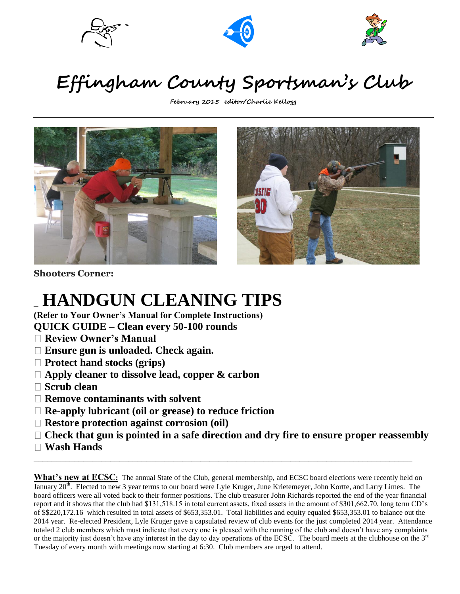





# **Effingham County Sportsman's Club**

**February 2015 editor/Charlie Kellogg**





**Shooters Corner:**

## \_ **HANDGUN CLEANING TIPS**

**(Refer to Your Owner's Manual for Complete Instructions) QUICK GUIDE – Clean every 50-100 rounds**

- **Review Owner's Manual**
- **Ensure gun is unloaded. Check again.**
- **Protect hand stocks (grips)**
- **Apply cleaner to dissolve lead, copper & carbon**
- **Scrub clean**
- **Remove contaminants with solvent**
- **Re-apply lubricant (oil or grease) to reduce friction**
- **Restore protection against corrosion (oil)**
- **Check that gun is pointed in a safe direction and dry fire to ensure proper reassembly**

\_\_\_\_\_\_\_\_\_\_\_\_\_\_\_\_\_\_\_\_\_\_\_\_\_\_\_\_\_\_\_\_\_\_\_\_\_\_\_\_\_\_\_\_\_\_\_\_\_\_\_\_\_\_\_\_\_\_\_\_\_\_\_\_\_\_\_\_\_\_\_\_\_\_\_\_\_\_\_\_\_\_\_\_

**Wash Hands**

**What's new at ECSC**: The annual State of the Club, general membership, and ECSC board elections were recently held on January 20<sup>th</sup>. Elected to new 3 year terms to our board were Lyle Kruger, June Krietemeyer, John Kortte, and Larry Limes. The board officers were all voted back to their former positions. The club treasurer John Richards reported the end of the year financial report and it shows that the club had \$131,518.15 in total current assets, fixed assets in the amount of \$301,662.70, long term CD's of \$\$220,172.16 which resulted in total assets of \$653,353.01. Total liabilities and equity equaled \$653,353.01 to balance out the 2014 year. Re-elected President, Lyle Kruger gave a capsulated review of club events for the just completed 2014 year. Attendance totaled 2 club members which must indicate that every one is pleased with the running of the club and doesn't have any complaints or the majority just doesn't have any interest in the day to day operations of the ECSC. The board meets at the clubhouse on the 3<sup>rd</sup> Tuesday of every month with meetings now starting at 6:30. Club members are urged to attend.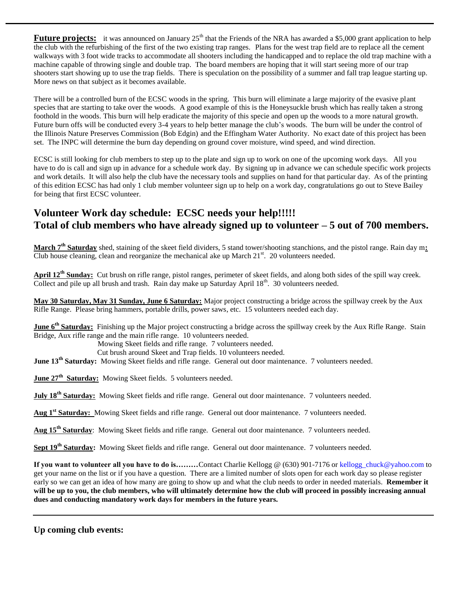**Future projects:** it was announced on January 25<sup>th</sup> that the Friends of the NRA has awarded a \$5,000 grant application to help the club with the refurbishing of the first of the two existing trap ranges. Plans for the west trap field are to replace all the cement walkways with 3 foot wide tracks to accommodate all shooters including the handicapped and to replace the old trap machine with a machine capable of throwing single and double trap. The board members are hoping that it will start seeing more of our trap shooters start showing up to use the trap fields. There is speculation on the possibility of a summer and fall trap league starting up. More news on that subject as it becomes available.

There will be a controlled burn of the ECSC woods in the spring. This burn will eliminate a large majority of the evasive plant species that are starting to take over the woods. A good example of this is the Honeysuckle brush which has really taken a strong foothold in the woods. This burn will help eradicate the majority of this specie and open up the woods to a more natural growth. Future burn offs will be conducted every 3-4 years to help better manage the club's woods. The burn will be under the control of the Illinois Nature Preserves Commission (Bob Edgin) and the Effingham Water Authority. No exact date of this project has been set. The INPC will determine the burn day depending on ground cover moisture, wind speed, and wind direction.

ECSC is still looking for club members to step up to the plate and sign up to work on one of the upcoming work days. All you have to do is call and sign up in advance for a schedule work day. By signing up in advance we can schedule specific work projects and work details. It will also help the club have the necessary tools and supplies on hand for that particular day. As of the printing of this edition ECSC has had only 1 club member volunteer sign up to help on a work day, congratulations go out to Steve Bailey for being that first ECSC volunteer.

### **Volunteer Work day schedule: ECSC needs your help!!!!! Total of club members who have already signed up to volunteer – 5 out of 700 members.**

**March 7th Saturday** shed, staining of the skeet field dividers, 5 stand tower/shooting stanchions, and the pistol range. Rain day m**:** Club house cleaning, clean and reorganize the mechanical ake up March  $21<sup>st</sup>$ . 20 volunteers needed.

**April 12th Sunday:** Cut brush on rifle range, pistol ranges, perimeter of skeet fields, and along both sides of the spill way creek. Collect and pile up all brush and trash. Rain day make up Saturday April 18<sup>th</sup>. 30 volunteers needed.

**May 30 Saturday, May 31 Sunday, June 6 Saturday:** Major project constructing a bridge across the spillway creek by the Aux Rifle Range. Please bring hammers, portable drills, power saws, etc. 15 volunteers needed each day.

**June 6<sup>th</sup> Saturday:** Finishing up the Major project constructing a bridge across the spillway creek by the Aux Rifle Range. Stain Bridge, Aux rifle range and the main rifle range. 10 volunteers needed.

Mowing Skeet fields and rifle range. 7 volunteers needed.

Cut brush around Skeet and Trap fields. 10 volunteers needed.

**June 13<sup>th</sup> Saturday:** Mowing Skeet fields and rifle range. General out door maintenance. 7 volunteers needed.

June 27<sup>th</sup> Saturday: Mowing Skeet fields. 5 volunteers needed.

**July 18<sup>th</sup> Saturday:** Mowing Skeet fields and rifle range. General out door maintenance. 7 volunteers needed.

**Aug 1st Saturday:** Mowing Skeet fields and rifle range. General out door maintenance. 7 volunteers needed.

**Aug 15th Saturday**: Mowing Skeet fields and rifle range. General out door maintenance. 7 volunteers needed.

**Sept 19th Saturday:** Mowing Skeet fields and rifle range. General out door maintenance. 7 volunteers needed.

**If you want to volunteer all you have to do is………**Contact Charlie Kellogg @ (630) 901-7176 or [kellogg\\_chuck@yahoo.com](mailto:kellogg_chuck@hoo.com) to get your name on the list or if you have a question. There are a limited number of slots open for each work day so please register early so we can get an idea of how many are going to show up and what the club needs to order in needed materials. **Remember it will be up to you, the club members, who will ultimately determine how the club will proceed in possibly increasing annual dues and conducting mandatory work days for members in the future years.** 

**Up coming club events:**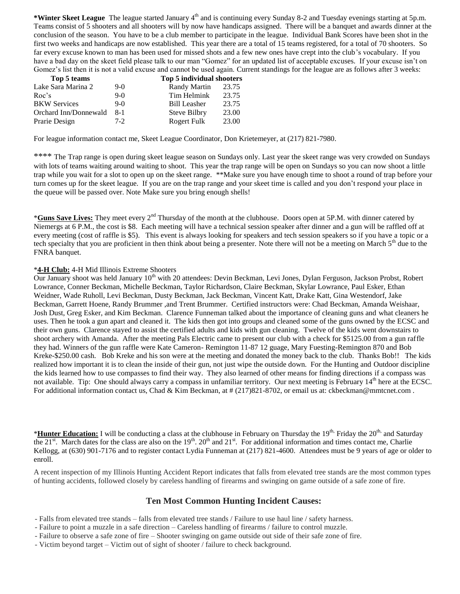\***Winter Skeet League** The league started January 4<sup>th</sup> and is continuing every Sunday 8-2 and Tuesday evenings starting at 5p.m. Teams consist of 5 shooters and all shooters will by now have handicaps assigned. There will be a banquet and awards dinner at the conclusion of the season. You have to be a club member to participate in the league. Individual Bank Scores have been shot in the first two weeks and handicaps are now established. This year there are a total of 15 teams registered, for a total of 70 shooters. So far every excuse known to man has been used for missed shots and a few new ones have crept into the club's vocabulary. If you have a bad day on the skeet field please talk to our man "Gomez" for an updated list of acceptable excuses. If your excuse isn't on Gomez's list then it is not a valid excuse and cannot be used again. Current standings for the league are as follows after 3 weeks:

| Top 5 teams           | Top 5 individual shooters |                              |
|-----------------------|---------------------------|------------------------------|
| Lake Sara Marina 2    | $9-0$                     | <b>Randy Martin</b><br>23.75 |
| Roc's                 | $9-0$                     | 23.75<br>Tim Helmink         |
| <b>BKW</b> Services   | $9-0$                     | 23.75<br><b>Bill Leasher</b> |
| Orchard Inn/Donnewald | $8-1$                     | 23.00<br>Steve Bilbry        |
| Prarie Design         | $7-2$                     | 23.00<br>Rogert Fulk         |

For league information contact me, Skeet League Coordinator, Don Krietemeyer, at (217) 821-7980.

\*\*\*\* The Trap range is open during skeet league season on Sundays only. Last year the skeet range was very crowded on Sundays with lots of teams waiting around waiting to shoot. This year the trap range will be open on Sundays so you can now shoot a little trap while you wait for a slot to open up on the skeet range. \*\*Make sure you have enough time to shoot a round of trap before your turn comes up for the skeet league. If you are on the trap range and your skeet time is called and you don't respond your place in the queue will be passed over. Note Make sure you bring enough shells!

\***Guns Save Lives:** They meet every 2nd Thursday of the month at the clubhouse. Doors open at 5P.M. with dinner catered by Niemergs at 6 P.M., the cost is \$8. Each meeting will have a technical session speaker after dinner and a gun will be raffled off at every meeting (cost of raffle is \$5). This event is always looking for speakers and tech session speakers so if you have a topic or a tech specialty that you are proficient in then think about being a presenter. Note there will not be a meeting on March 5<sup>th</sup> due to the FNRA banquet.

#### \***4-H Club:** 4-H Mid Illinois Extreme Shooters

Our January shoot was held January 10<sup>th</sup> with 20 attendees: Devin Beckman, Levi Jones, Dylan Ferguson, Jackson Probst, Robert Lowrance, Conner Beckman, Michelle Beckman, Taylor Richardson, Claire Beckman, Skylar Lowrance, Paul Esker, Ethan Weidner, Wade Ruholl, Levi Beckman, Dusty Beckman, Jack Beckman, Vincent Katt, Drake Katt, Gina Westendorf, Jake Beckman, Garrett Hoene, Randy Brummer ,and Trent Brummer. Certified instructors were: Chad Beckman, Amanda Weishaar, Josh Dust, Greg Esker, and Kim Beckman. Clarence Funneman talked about the importance of cleaning guns and what cleaners he uses. Then he took a gun apart and cleaned it. The kids then got into groups and cleaned some of the guns owned by the ECSC and their own guns. Clarence stayed to assist the certified adults and kids with gun cleaning. Twelve of the kids went downstairs to shoot archery with Amanda. After the meeting Pals Electric came to present our club with a check for \$5125.00 from a gun raffle they had. Winners of the gun raffle were Kate Cameron- Remington 11-87 12 guage, Mary Fuesting-Remington 870 and Bob Kreke-\$250.00 cash. Bob Kreke and his son were at the meeting and donated the money back to the club. Thanks Bob!! The kids realized how important it is to clean the inside of their gun, not just wipe the outside down. For the Hunting and Outdoor discipline the kids learned how to use compasses to find their way. They also learned of other means for finding directions if a compass was not available. Tip: One should always carry a compass in unfamiliar territory. Our next meeting is February 14<sup>th</sup> here at the ECSC. For additional information contact us, Chad & Kim Beckman, at # (217)821-8702, or email us at: [ckbeckman@mmtcnet.com](mailto:ckbeckman@mmtcnet.com).

\*Hunter Education: I will be conducting a class at the clubhouse in February on Thursday the 19<sup>th,</sup> Friday the 20<sup>th,</sup> and Saturday the  $21^{st}$ . March dates for the class are also on the  $19^{th}$ .  $20^{th}$  and  $21^{st}$ . For additional information and times contact me, Charlie Kellogg, at (630) 901-7176 and to register contact Lydia Funneman at (217) 821-4600. Attendees must be 9 years of age or older to enroll.

A recent inspection of my Illinois Hunting Accident Report indicates that falls from elevated tree stands are the most common types of hunting accidents, followed closely by careless handling of firearms and swinging on game outside of a safe zone of fire.

#### **Ten Most Common Hunting Incident Causes:**

- Falls from elevated tree stands – falls from elevated tree stands / Failure to use haul line / safety harness.

- Failure to point a muzzle in a safe direction – Careless handling of firearms / failure to control muzzle.

- Failure to observe a safe zone of fire – Shooter swinging on game outside out side of their safe zone of fire.

- Victim beyond target – Victim out of sight of shooter / failure to check background.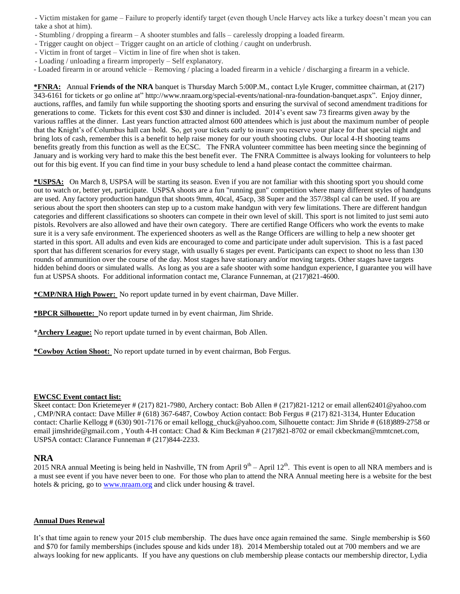- Victim mistaken for game – Failure to properly identify target (even though Uncle Harvey acts like a turkey doesn't mean you can take a shot at him).

- Stumbling / dropping a firearm A shooter stumbles and falls carelessly dropping a loaded firearm.
- Trigger caught on object Trigger caught on an article of clothing / caught on underbrush.
- Victim in front of target Victim in line of fire when shot is taken.
- Loading / unloading a firearm improperly Self explanatory.

- Loaded firearm in or around vehicle – Removing / placing a loaded firearm in a vehicle / discharging a firearm in a vehicle.

**\*FNRA:** Annual **Friends of the NRA** banquet is Thursday March 5:00P.M., contact Lyle Kruger, committee chairman, at (217) 343-6161 for tickets or go online at" http://www.nraam.org/special-events/national-nra-foundation-banquet.aspx". Enjoy dinner, auctions, raffles, and family fun while supporting the shooting sports and ensuring the survival of second amendment traditions for generations to come. Tickets for this event cost \$30 and dinner is included. 2014's event saw 73 firearms given away by the various raffles at the dinner. Last years function attracted almost 600 attendees which is just about the maximum number of people that the Knight's of Columbus hall can hold. So, get your tickets early to insure you reserve your place for that special night and bring lots of cash, remember this is a benefit to help raise money for our youth shooting clubs. Our local 4-H shooting teams benefits greatly from this function as well as the ECSC. The FNRA volunteer committee has been meeting since the beginning of January and is working very hard to make this the best benefit ever. The FNRA Committee is always looking for volunteers to help out for this big event. If you can find time in your busy schedule to lend a hand please contact the committee chairman.

**\*USPSA:** On March 8, USPSA will be starting its season. Even if you are not familiar with this shooting sport you should come out to watch or, better yet, participate. USPSA shoots are a fun "running gun" competition where many different styles of handguns are used. Any factory production handgun that shoots 9mm, 40cal, 45acp, 38 Super and the 357/38spl cal can be used. If you are serious about the sport then shooters can step up to a custom make handgun with very few limitations. There are different handgun categories and different classifications so shooters can compete in their own level of skill. This sport is not limited to just semi auto pistols. Revolvers are also allowed and have their own category. There are certified Range Officers who work the events to make sure it is a very safe environment. The experienced shooters as well as the Range Officers are willing to help a new shooter get started in this sport. All adults and even kids are encouraged to come and participate under adult supervision. This is a fast paced sport that has different scenarios for every stage, with usually 6 stages per event. Participants can expect to shoot no less than 130 rounds of ammunition over the course of the day. Most stages have stationary and/or moving targets. Other stages have targets hidden behind doors or simulated walls. As long as you are a safe shooter with some handgun experience, I guarantee you will have fun at USPSA shoots. For additional information contact me, Clarance Funneman, at (217)821-4600.

**\*CMP/NRA High Power:** No report update turned in by event chairman, Dave Miller.

**\*BPCR Silhouette:** No report update turned in by event chairman, Jim Shride.

\***Archery League:** No report update turned in by event chairman, Bob Allen.

**\*Cowboy Action Shoot:** No report update turned in by event chairman, Bob Fergus.

#### **EWCSC Event contact list:**

Skeet contact: Don Krietemeyer # (217) 821-7980, Archery contact: Bob Allen # (217)821-1212 or email [allen62401@yahoo.com](mailto:allen62401@yahoo.com) , CMP/NRA contact: Dave Miller # (618) 367-6487, Cowboy Action contact: Bob Fergus # (217) 821-3134, Hunter Education contact: Charlie Kellogg # (630) 901-7176 or email kellogg\_chuck@yahoo.com, Silhouette contact: Jim Shride # (618)889-2758 or emai[l jimshride@gmail.com](mailto:jimshride@gmail.com), Youth 4-H contact: Chad & Kim Beckman # (217)821-8702 or email [ckbeckman@mmtcnet.com,](mailto:ckbeckman@mmtcnet.com) USPSA contact: Clarance Funneman # (217)844-2233.

#### **NRA**

2015 NRA annual Meeting is being held in Nashville, TN from April  $9<sup>th</sup>$  – April 12<sup>th</sup>. This event is open to all NRA members and is a must see event if you have never been to one. For those who plan to attend the NRA Annual meeting here is a website for the best hotels & pricing, go to [www.nraam.org](http://www.nraam.org/) and click under housing & travel.

#### **Annual Dues Renewal**

It's that time again to renew your 2015 club membership. The dues have once again remained the same. Single membership is \$60 and \$70 for family memberships (includes spouse and kids under 18). 2014 Membership totaled out at 700 members and we are always looking for new applicants. If you have any questions on club membership please contacts our membership director, Lydia